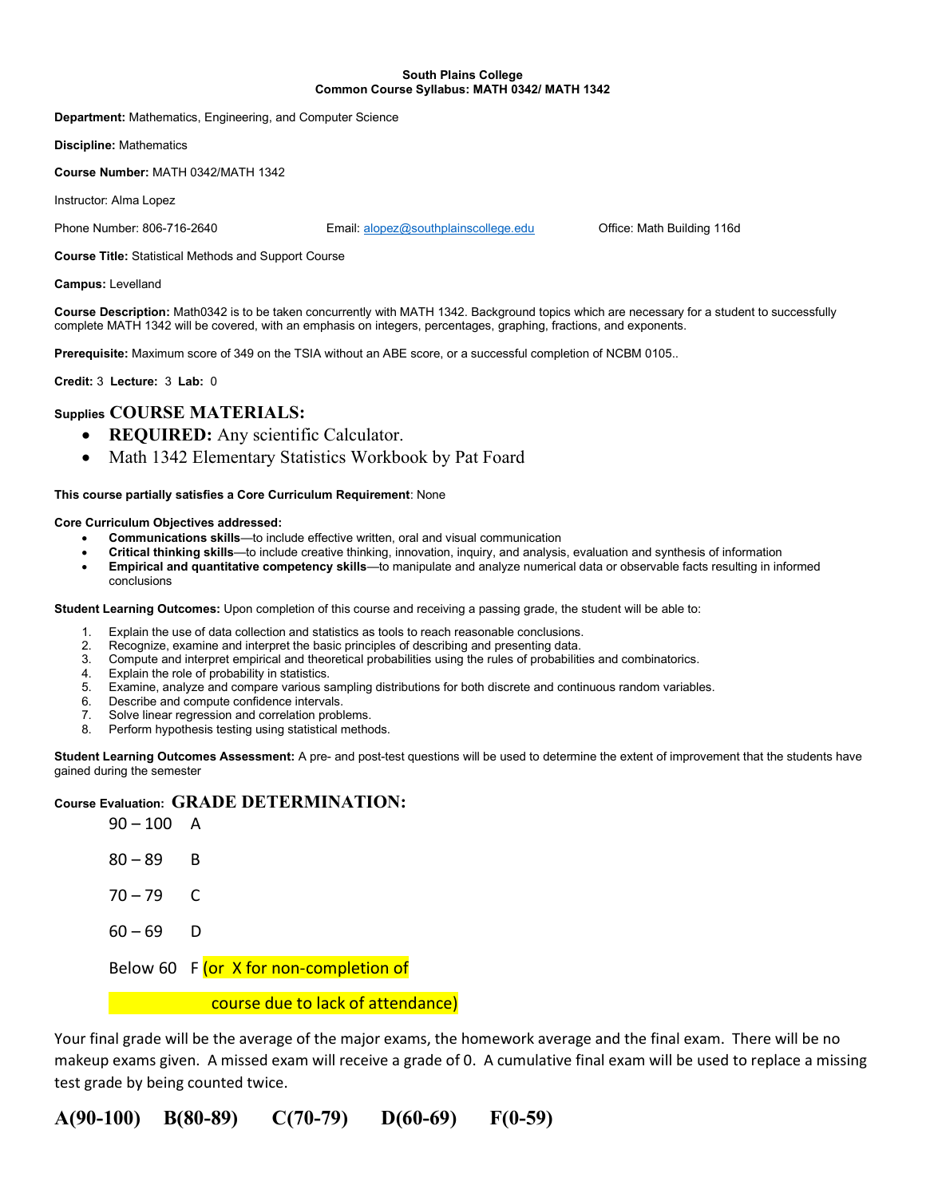#### South Plains College Common Course Syllabus: MATH 0342/ MATH 1342

Department: Mathematics, Engineering, and Computer Science

Discipline: Mathematics

Course Number: MATH 0342/MATH 1342

Instructor: Alma Lopez

Phone Number: 806-716-2640 Email: alopez@southplainscollege.edu Office: Math Building 116d

Course Title: Statistical Methods and Support Course

Campus: Levelland

Course Description: Math0342 is to be taken concurrently with MATH 1342. Background topics which are necessary for a student to successfully complete MATH 1342 will be covered, with an emphasis on integers, percentages, graphing, fractions, and exponents.

Prerequisite: Maximum score of 349 on the TSIA without an ABE score, or a successful completion of NCBM 0105..

Credit: 3 Lecture: 3 Lab: 0

## Supplies COURSE MATERIALS:

- REQUIRED: Any scientific Calculator.
- Math 1342 Elementary Statistics Workbook by Pat Foard

#### This course partially satisfies a Core Curriculum Requirement: None

### Core Curriculum Objectives addressed:

- Communications skills—to include effective written, oral and visual communication
- Critical thinking skills—to include creative thinking, innovation, inquiry, and analysis, evaluation and synthesis of information
- Empirical and quantitative competency skills—to manipulate and analyze numerical data or observable facts resulting in informed conclusions

Student Learning Outcomes: Upon completion of this course and receiving a passing grade, the student will be able to:

- 1. Explain the use of data collection and statistics as tools to reach reasonable conclusions.<br>2. Recognize examine and interpret the basic principles of describing and presenting data
- Recognize, examine and interpret the basic principles of describing and presenting data.
- 3. Compute and interpret empirical and theoretical probabilities using the rules of probabilities and combinatorics.
- 4. Explain the role of probability in statistics.
- 5. Examine, analyze and compare various sampling distributions for both discrete and continuous random variables.
- 6. Describe and compute confidence intervals.
- 7. Solve linear regression and correlation problems.
- 8. Perform hypothesis testing using statistical methods.

Student Learning Outcomes Assessment: A pre- and post-test questions will be used to determine the extent of improvement that the students have gained during the semester

## Course Evaluation: GRADE DETERMINATION:

| $90 - 100$ A |                                        |
|--------------|----------------------------------------|
| $80 - 89$    | - B                                    |
| $70 - 79$ C  |                                        |
| $60 - 69$ D  |                                        |
|              | Below 60 F (or X for non-completion of |
|              | course due to lack of attendance)      |

Your final grade will be the average of the major exams, the homework average and the final exam. There will be no makeup exams given. A missed exam will receive a grade of 0. A cumulative final exam will be used to replace a missing test grade by being counted twice.

A(90-100) B(80-89) C(70-79) D(60-69) F(0-59)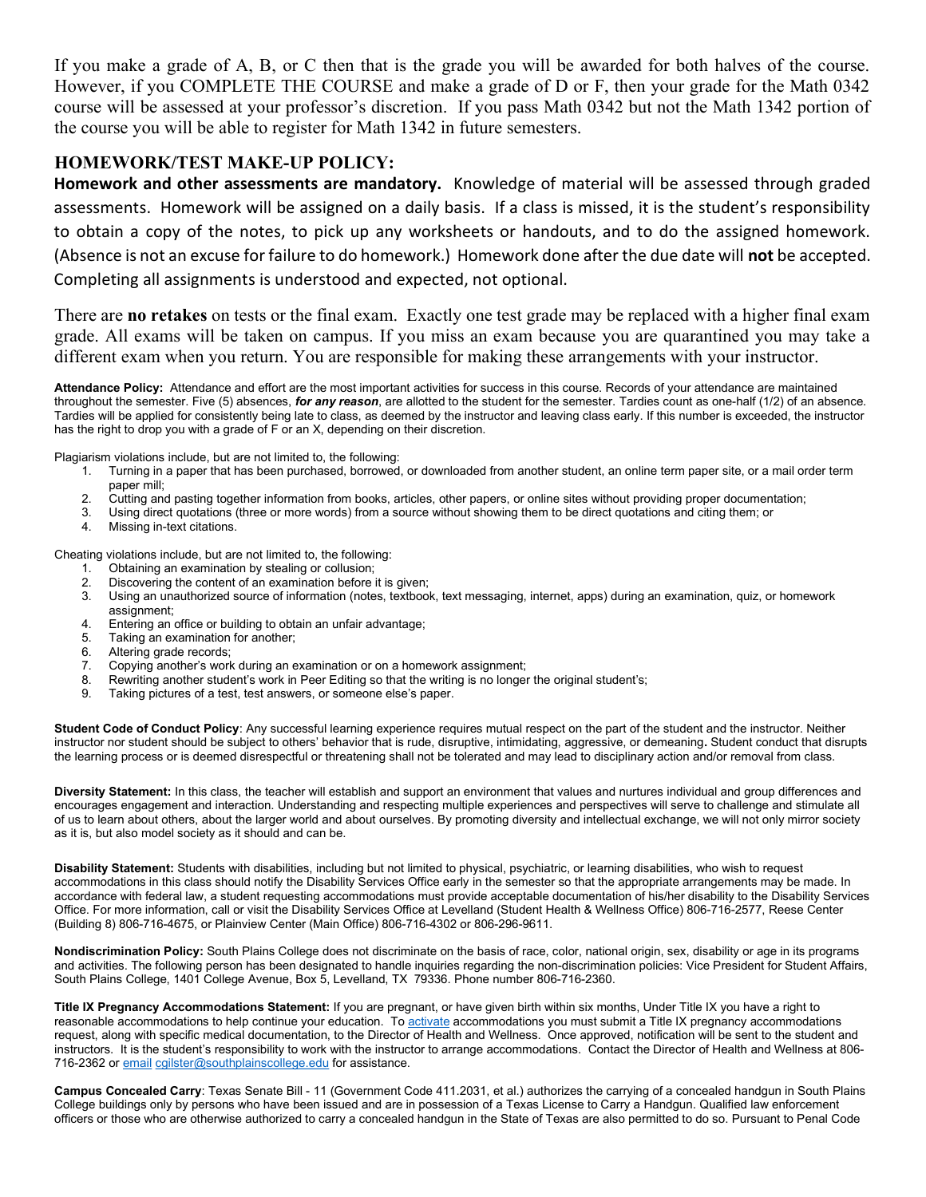If you make a grade of A, B, or C then that is the grade you will be awarded for both halves of the course. However, if you COMPLETE THE COURSE and make a grade of D or F, then your grade for the Math 0342 course will be assessed at your professor's discretion. If you pass Math 0342 but not the Math 1342 portion of the course you will be able to register for Math 1342 in future semesters.

# HOMEWORK/TEST MAKE-UP POLICY:

Homework and other assessments are mandatory. Knowledge of material will be assessed through graded assessments. Homework will be assigned on a daily basis. If a class is missed, it is the student's responsibility to obtain a copy of the notes, to pick up any worksheets or handouts, and to do the assigned homework. (Absence is not an excuse for failure to do homework.) Homework done after the due date will not be accepted. Completing all assignments is understood and expected, not optional.

There are **no retakes** on tests or the final exam. Exactly one test grade may be replaced with a higher final exam grade. All exams will be taken on campus. If you miss an exam because you are quarantined you may take a different exam when you return. You are responsible for making these arrangements with your instructor.

Attendance Policy: Attendance and effort are the most important activities for success in this course. Records of your attendance are maintained throughout the semester. Five (5) absences, for any reason, are allotted to the student for the semester. Tardies count as one-half  $(1/2)$  of an absence. Tardies will be applied for consistently being late to class, as deemed by the instructor and leaving class early. If this number is exceeded, the instructor has the right to drop you with a grade of F or an X, depending on their discretion.

Plagiarism violations include, but are not limited to, the following:

- 1. Turning in a paper that has been purchased, borrowed, or downloaded from another student, an online term paper site, or a mail order term paper mill;
- 2. Cutting and pasting together information from books, articles, other papers, or online sites without providing proper documentation;<br>3. Using direct quotations (three or more words) from a source without showing them to
- 3. Using direct quotations (three or more words) from a source without showing them to be direct quotations and citing them; or
- 4. Missing in-text citations.

Cheating violations include, but are not limited to, the following:

- 1. Obtaining an examination by stealing or collusion;<br>2. Discovering the content of an examination before
- Discovering the content of an examination before it is given;
- 3. Using an unauthorized source of information (notes, textbook, text messaging, internet, apps) during an examination, quiz, or homework assignment;
- 4. Entering an office or building to obtain an unfair advantage;
- 5. Taking an examination for another;
- 6. Altering grade records;
- 7. Copying another's work during an examination or on a homework assignment;<br>8. Rewriting another student's work in Peer Editing so that the writing is no longer
- Rewriting another student's work in Peer Editing so that the writing is no longer the original student's;
- 9. Taking pictures of a test, test answers, or someone else's paper.

Student Code of Conduct Policy: Any successful learning experience requires mutual respect on the part of the student and the instructor. Neither instructor nor student should be subject to others' behavior that is rude, disruptive, intimidating, aggressive, or demeaning. Student conduct that disrupts the learning process or is deemed disrespectful or threatening shall not be tolerated and may lead to disciplinary action and/or removal from class.

Diversity Statement: In this class, the teacher will establish and support an environment that values and nurtures individual and group differences and encourages engagement and interaction. Understanding and respecting multiple experiences and perspectives will serve to challenge and stimulate all of us to learn about others, about the larger world and about ourselves. By promoting diversity and intellectual exchange, we will not only mirror society as it is, but also model society as it should and can be.

Disability Statement: Students with disabilities, including but not limited to physical, psychiatric, or learning disabilities, who wish to request accommodations in this class should notify the Disability Services Office early in the semester so that the appropriate arrangements may be made. In accordance with federal law, a student requesting accommodations must provide acceptable documentation of his/her disability to the Disability Services Office. For more information, call or visit the Disability Services Office at Levelland (Student Health & Wellness Office) 806-716-2577, Reese Center (Building 8) 806-716-4675, or Plainview Center (Main Office) 806-716-4302 or 806-296-9611.

Nondiscrimination Policy: South Plains College does not discriminate on the basis of race, color, national origin, sex, disability or age in its programs and activities. The following person has been designated to handle inquiries regarding the non-discrimination policies: Vice President for Student Affairs, South Plains College, 1401 College Avenue, Box 5, Levelland, TX 79336. Phone number 806-716-2360.

Title IX Pregnancy Accommodations Statement: If you are pregnant, or have given birth within six months, Under Title IX you have a right to reasonable accommodations to help continue your education. To activate accommodations you must submit a Title IX pregnancy accommodations request, along with specific medical documentation, to the Director of Health and Wellness. Once approved, notification will be sent to the student and instructors. It is the student's responsibility to work with the instructor to arrange accommodations. Contact the Director of Health and Wellness at 806- 716-2362 or email cgilster@southplainscollege.edu for assistance.

Campus Concealed Carry: Texas Senate Bill - 11 (Government Code 411.2031, et al.) authorizes the carrying of a concealed handgun in South Plains College buildings only by persons who have been issued and are in possession of a Texas License to Carry a Handgun. Qualified law enforcement officers or those who are otherwise authorized to carry a concealed handgun in the State of Texas are also permitted to do so. Pursuant to Penal Code